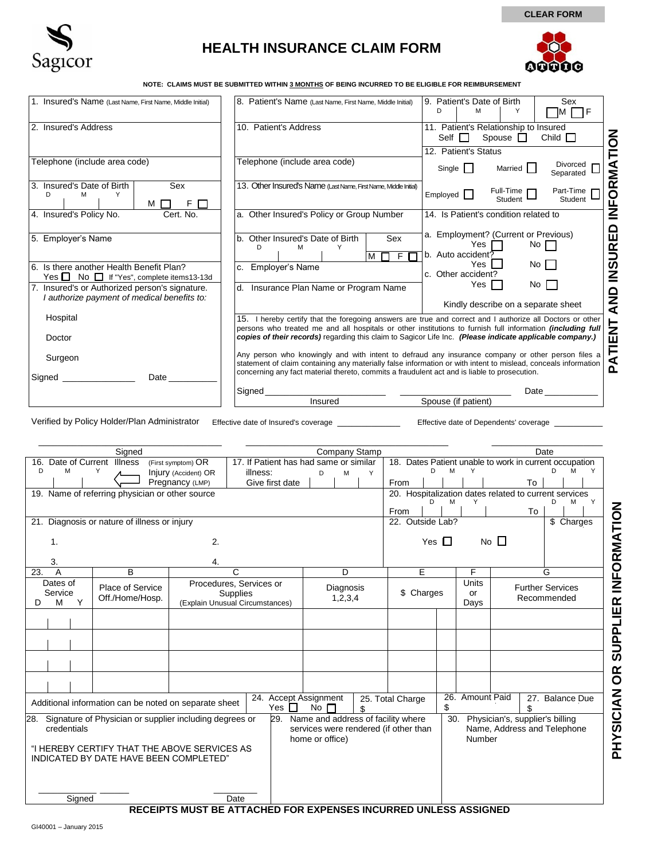

## **HEALTH INSURANCE CLAIM FORM**



00000

**CLEAR FORM**

**NOTE: CLAIMS MUST BE SUBMITTED WITHIN 3 MONTHS OF BEING INCURRED TO BE ELIGIBLE FOR REIMBURSEMENT** 

| 1. Insured's Name (Last Name, First Name, Middle Initial)                                     | 8. Patient's Name (Last Name, First Name, Middle Initial)                                                                                                                                                                                                                                                                                  | 9. Patient's Date of Birth<br>Sex<br>Υ<br>D<br>м<br>ПF<br>IM.                                                 |  |  |  |  |
|-----------------------------------------------------------------------------------------------|--------------------------------------------------------------------------------------------------------------------------------------------------------------------------------------------------------------------------------------------------------------------------------------------------------------------------------------------|---------------------------------------------------------------------------------------------------------------|--|--|--|--|
| 2. Insured's Address                                                                          | 10. Patient's Address                                                                                                                                                                                                                                                                                                                      | 11. Patient's Relationship to Insured<br>Spouse $\Box$<br>Child $\Box$<br>Self $\Box$<br>12. Patient's Status |  |  |  |  |
| Telephone (include area code)                                                                 | Telephone (include area code)                                                                                                                                                                                                                                                                                                              | ORMATION<br>Divorced<br>Single    <br>Married I<br>Separated                                                  |  |  |  |  |
| 3. Insured's Date of Birth<br>Sex<br>Υ<br>D.<br>м<br>F<br>м                                   | 13. Other Insured's Name (Last Name, First Name, Middle Initial)                                                                                                                                                                                                                                                                           | Part-Time<br>Full-Time $\Gamma$<br>Employed  <br>Student<br>Student                                           |  |  |  |  |
| 4. Insured's Policy No.<br>Cert. No.                                                          | a. Other Insured's Policy or Group Number                                                                                                                                                                                                                                                                                                  | ι⊾<br>Σ<br>14. Is Patient's condition related to                                                              |  |  |  |  |
| 5. Employer's Name                                                                            | Other Insured's Date of Birth<br>Sex<br>b.<br>D<br>м<br>M                                                                                                                                                                                                                                                                                  | <b>INSURED</b><br>a. Employment? (Current or Previous)<br>Yes<br>No $\Box$<br>b. Auto accident?               |  |  |  |  |
| 6. Is there another Health Benefit Plan?<br>Yes ■ No ■ If "Yes", complete items13-13d         | c. Employer's Name                                                                                                                                                                                                                                                                                                                         | No II<br>Yes<br>c. Other accident?                                                                            |  |  |  |  |
| 7. Insured's or Authorized person's signature.<br>I authorize payment of medical benefits to: | d. Insurance Plan Name or Program Name                                                                                                                                                                                                                                                                                                     | Yes II<br>No    <br><b>AND</b><br>Kindly describe on a separate sheet                                         |  |  |  |  |
| Hospital<br>Doctor                                                                            | 15. I hereby certify that the foregoing answers are true and correct and I authorize all Doctors or other<br>persons who treated me and all hospitals or other institutions to furnish full information <i>(including full</i><br>copies of their records) regarding this claim to Sagicor Life Inc. (Please indicate applicable company.) | TIENT                                                                                                         |  |  |  |  |
| Surgeon<br>Date                                                                               | Any person who knowingly and with intent to defraud any insurance company or other person files a<br>statement of claim containing any materially false information or with intent to mislead, conceals information<br>concerning any fact material thereto, commits a fraudulent act and is liable to prosecution.                        | ⋖<br>$\Omega$                                                                                                 |  |  |  |  |
| Signed                                                                                        | Signed<br>Insured                                                                                                                                                                                                                                                                                                                          | Date<br>Spouse (if patient)                                                                                   |  |  |  |  |

Verified by Policy Holder/Plan Administrator Effective date of Insured's coverage \_\_\_\_\_\_\_\_\_\_\_\_\_ Effective date of Dependents' coverage \_\_\_\_\_\_\_\_\_\_

| Signed                                                                                                                                                                      |                                     |                                                                               | Company Stamp                                                         |                                                                                                |                         |                  |                                                                                                   |   | Date                                     |            |                                                                       |  |
|-----------------------------------------------------------------------------------------------------------------------------------------------------------------------------|-------------------------------------|-------------------------------------------------------------------------------|-----------------------------------------------------------------------|------------------------------------------------------------------------------------------------|-------------------------|------------------|---------------------------------------------------------------------------------------------------|---|------------------------------------------|------------|-----------------------------------------------------------------------|--|
| 16. Date of Current Illness<br>D<br>M                                                                                                                                       | Y                                   | (First symptom) OR<br>Injury (Accident) OR<br>Pregnancy (LMP)                 | 17. If Patient has had same or similar<br>illness:<br>Give first date | D                                                                                              | M                       | Y                | D<br>From                                                                                         | M | Y                                        | To         | 18. Dates Patient unable to work in current occupation<br>M<br>D<br>Y |  |
| 19. Name of referring physician or other source                                                                                                                             |                                     |                                                                               |                                                                       |                                                                                                |                         |                  | 20. Hospitalization dates related to current services<br>M<br>M<br>Y<br>D<br>D<br>Y<br>From<br>To |   |                                          |            |                                                                       |  |
| Diagnosis or nature of illness or injury<br>21.                                                                                                                             |                                     |                                                                               |                                                                       |                                                                                                |                         | 22. Outside Lab? |                                                                                                   |   |                                          | \$ Charges |                                                                       |  |
| 2.<br>$\mathbf{1}$ .                                                                                                                                                        |                                     |                                                                               |                                                                       |                                                                                                |                         |                  | No $\Box$<br>Yes $\Box$                                                                           |   |                                          |            |                                                                       |  |
| 3.<br>$\overline{A}$<br>23.                                                                                                                                                 | B                                   | 4.                                                                            | C                                                                     |                                                                                                | D                       |                  | Е                                                                                                 |   | F                                        |            | G                                                                     |  |
| Dates of<br>Service<br>Υ<br>M<br>D                                                                                                                                          | Place of Service<br>Off./Home/Hosp. | Procedures, Services or<br><b>Supplies</b><br>(Explain Unusual Circumstances) |                                                                       |                                                                                                | Diagnosis<br>1, 2, 3, 4 |                  | \$ Charges                                                                                        |   | <b>Units</b><br>or<br>Days               |            | <b>Further Services</b><br>Recommended                                |  |
|                                                                                                                                                                             |                                     |                                                                               |                                                                       |                                                                                                |                         |                  |                                                                                                   |   |                                          |            |                                                                       |  |
|                                                                                                                                                                             |                                     |                                                                               |                                                                       |                                                                                                |                         |                  |                                                                                                   |   |                                          |            |                                                                       |  |
|                                                                                                                                                                             |                                     |                                                                               |                                                                       |                                                                                                |                         |                  |                                                                                                   |   |                                          |            |                                                                       |  |
| 24. Accept Assignment<br>Additional information can be noted on separate sheet<br>Yes $\Box$                                                                                |                                     |                                                                               |                                                                       | No $\Box$                                                                                      |                         | \$.              | 25. Total Charge                                                                                  |   | 26. Amount Paid<br>27. Balance Due<br>\$ |            |                                                                       |  |
| 28. Signature of Physician or supplier including degrees or<br>29.<br>credentials<br>"I HEREBY CERTIFY THAT THE ABOVE SERVICES AS<br>INDICATED BY DATE HAVE BEEN COMPLETED" |                                     |                                                                               |                                                                       | Name and address of facility where<br>services were rendered (if other than<br>home or office) |                         |                  | 30.<br>Physician's, supplier's billing<br>Name, Address and Telephone<br>Number                   |   |                                          |            |                                                                       |  |
| Sianed                                                                                                                                                                      |                                     |                                                                               | Date                                                                  |                                                                                                |                         |                  |                                                                                                   |   |                                          |            |                                                                       |  |

**RECEIPTS MUST BE ATTACHED FOR EXPENSES INCURRED UNLESS ASSIGNED**